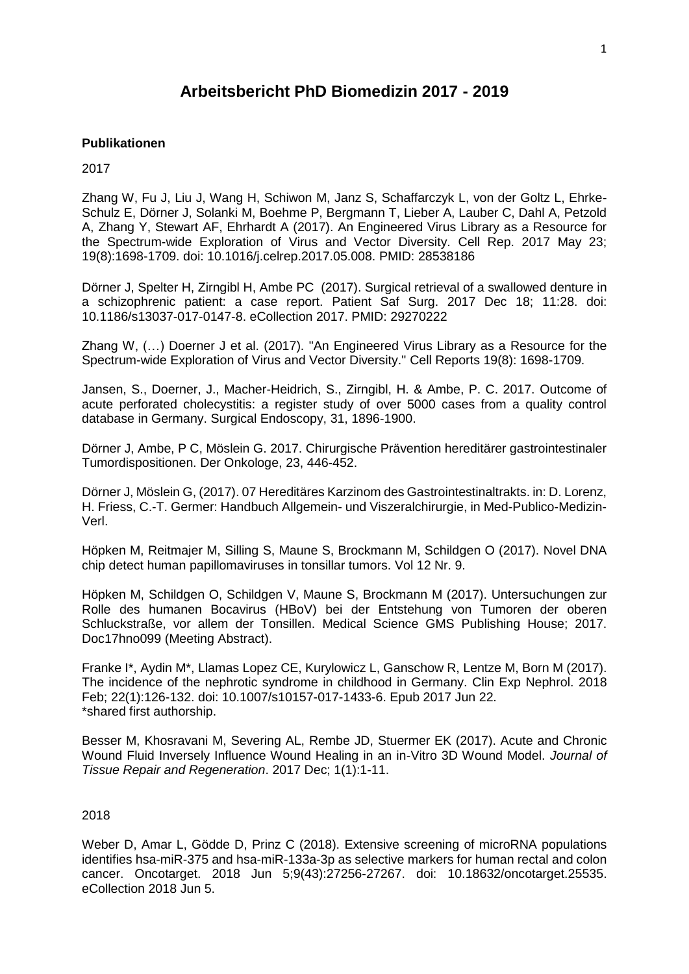# **Arbeitsbericht PhD Biomedizin 2017 - 2019**

# **Publikationen**

2017

Zhang W, Fu J, Liu J, Wang H, Schiwon M, Janz S, Schaffarczyk L, von der Goltz L, Ehrke-Schulz E, Dörner J, Solanki M, Boehme P, Bergmann T, Lieber A, Lauber C, Dahl A, Petzold A, Zhang Y, Stewart AF, Ehrhardt A (2017). [An Engineered Virus Library as a Resource for](https://www.ncbi.nlm.nih.gov/pubmed/28538186)  [the Spectrum-wide Exploration of Virus and Vector Diversity.](https://www.ncbi.nlm.nih.gov/pubmed/28538186) Cell Rep. 2017 May 23; 19(8):1698-1709. doi: 10.1016/j.celrep.2017.05.008. PMID: 28538186

Dörner J, Spelter H, Zirngibl H, Ambe PC (2017). [Surgical retrieval of a swallowed denture in](https://www.ncbi.nlm.nih.gov/pubmed/29270222)  [a schizophrenic patient: a case report.](https://www.ncbi.nlm.nih.gov/pubmed/29270222) Patient Saf Surg. 2017 Dec 18; 11:28. doi: 10.1186/s13037-017-0147-8. eCollection 2017. PMID: 29270222

Zhang W, (…) Doerner J et al. (2017). "An Engineered Virus Library as a Resource for the Spectrum-wide Exploration of Virus and Vector Diversity." Cell Reports 19(8): 1698-1709.

Jansen, S., Doerner, J., Macher-Heidrich, S., Zirngibl, H. & Ambe, P. C. 2017. Outcome of acute perforated cholecystitis: a register study of over 5000 cases from a quality control database in Germany. Surgical Endoscopy, 31, 1896-1900.

Dörner J, Ambe, P C, Möslein G. 2017. Chirurgische Prävention hereditärer gastrointestinaler Tumordispositionen. Der Onkologe, 23, 446-452.

Dörner J, Möslein G, (2017). 07 Hereditäres Karzinom des Gastrointestinaltrakts. in: D. Lorenz, H. Friess, C.-T. Germer: Handbuch Allgemein- und Viszeralchirurgie, in Med-Publico-Medizin-Verl.

[Höpken](https://www.futuremedicine.com/doi/abs/10.2217/fvl-2017-0053) M, [Reitmajer](https://www.futuremedicine.com/doi/abs/10.2217/fvl-2017-0053) M, Silling S, Maune S, Brockmann M, Schildgen O (2017). Novel DNA chip detect human papillomaviruses in tonsillar tumors. Vol 12 Nr. 9.

Höpken M, Schildgen O, Schildgen V, Maune S, Brockmann M (2017). Untersuchungen zur Rolle des humanen Bocavirus (HBoV) bei der Entstehung von Tumoren der oberen Schluckstraße, vor allem der Tonsillen. Medical Science GMS Publishing House; 2017. Doc17hno099 (Meeting Abstract).

Franke I\*, Aydin M\*, Llamas Lopez CE, Kurylowicz L, Ganschow R, Lentze M, Born M (2017). [The incidence of the nephrotic syndrome in childhood in Germany.](https://www.ncbi.nlm.nih.gov/pubmed/28643120) Clin Exp Nephrol. 2018 Feb; 22(1):126-132. doi: 10.1007/s10157-017-1433-6. Epub 2017 Jun 22. \*shared first authorship.

Besser M, Khosravani M, Severing AL, Rembe JD, Stuermer EK (2017). Acute and Chronic Wound Fluid Inversely Influence Wound Healing in an in-Vitro 3D Wound Model. *Journal of Tissue Repair and Regeneration*. 2017 Dec; 1(1):1-11.

# 2018

Weber D, Amar L, Gödde D, Prinz C (2018). [Extensive screening of microRNA populations](https://www.ncbi.nlm.nih.gov/pubmed/29930763)  [identifies hsa-miR-375 and hsa-miR-133a-3p as selective markers for human rectal and colon](https://www.ncbi.nlm.nih.gov/pubmed/29930763)  [cancer.](https://www.ncbi.nlm.nih.gov/pubmed/29930763) Oncotarget. 2018 Jun 5;9(43):27256-27267. doi: 10.18632/oncotarget.25535. eCollection 2018 Jun 5.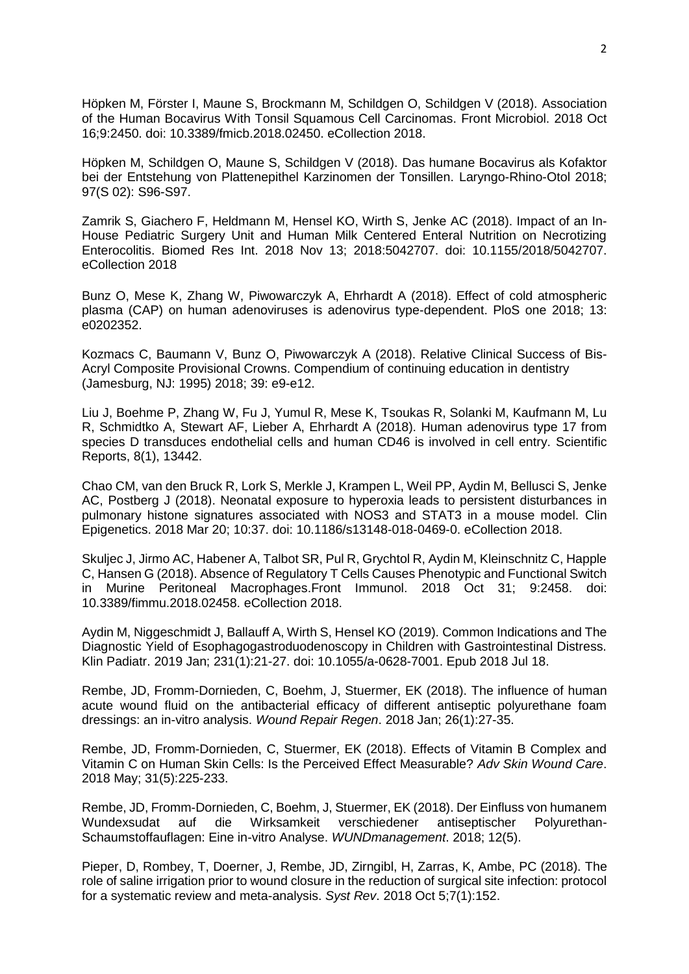Höpken M, Förster I, Maune S, Brockmann M, Schildgen O, Schildgen V (2018). Association of the Human Bocavirus With Tonsil Squamous Cell Carcinomas. [Front Microbiol.](https://www.ncbi.nlm.nih.gov/pubmed/?term=h%C3%B6pken+m%2C+schildgen+o) 2018 Oct 16;9:2450. doi: 10.3389/fmicb.2018.02450. eCollection 2018.

Höpken M, Schildgen O, Maune S, Schildgen V (2018). Das humane Bocavirus als Kofaktor bei der Entstehung von Plattenepithel Karzinomen der Tonsillen. Laryngo-Rhino-Otol 2018; 97(S 02): S96-S97.

[Zamrik S,](https://www.ncbi.nlm.nih.gov/pubmed/?term=Zamrik%20S%5BAuthor%5D&cauthor=true&cauthor_uid=30539013) [Giachero](https://www.ncbi.nlm.nih.gov/pubmed/?term=Giachero%20F%5BAuthor%5D&cauthor=true&cauthor_uid=30539013) F, [Heldmann M,](https://www.ncbi.nlm.nih.gov/pubmed/?term=Heldmann%20M%5BAuthor%5D&cauthor=true&cauthor_uid=30539013) [Hensel KO,](https://www.ncbi.nlm.nih.gov/pubmed/?term=Hensel%20KO%5BAuthor%5D&cauthor=true&cauthor_uid=30539013) [Wirth S,](https://www.ncbi.nlm.nih.gov/pubmed/?term=Wirth%20S%5BAuthor%5D&cauthor=true&cauthor_uid=30539013) [Jenke](https://www.ncbi.nlm.nih.gov/pubmed/?term=Jenke%20AC%5BAuthor%5D&cauthor=true&cauthor_uid=30539013) AC (2018). Impact of an In-House Pediatric Surgery Unit and Human Milk Centered Enteral Nutrition on Necrotizing Enterocolitis. [Biomed Res Int.](https://www.ncbi.nlm.nih.gov/pubmed/?term=giachero%2C+jenke) 2018 Nov 13; 2018:5042707. doi: 10.1155/2018/5042707. eCollection 2018

Bunz O, Mese K, Zhang W, Piwowarczyk A, Ehrhardt A (2018). Effect of cold atmospheric plasma (CAP) on human adenoviruses is adenovirus type-dependent. PloS one 2018; 13: e0202352.

Kozmacs C, Baumann V, Bunz O, Piwowarczyk A (2018). Relative Clinical Success of Bis-Acryl Composite Provisional Crowns. Compendium of continuing education in dentistry (Jamesburg, NJ: 1995) 2018; 39: e9-e12.

Liu J, Boehme P, Zhang W, Fu J, Yumul R, Mese K, [Tsoukas R,](https://www.ncbi.nlm.nih.gov/pubmed/?term=Tsoukas%20R%5BAuthor%5D&cauthor=true&cauthor_uid=30194327) [Solanki M,](https://www.ncbi.nlm.nih.gov/pubmed/?term=Solanki%20M%5BAuthor%5D&cauthor=true&cauthor_uid=30194327) [Kaufmann M,](https://www.ncbi.nlm.nih.gov/pubmed/?term=Kaufmann%20M%5BAuthor%5D&cauthor=true&cauthor_uid=30194327) [Lu](https://www.ncbi.nlm.nih.gov/pubmed/?term=Lu%20R%5BAuthor%5D&cauthor=true&cauthor_uid=30194327)  [R,](https://www.ncbi.nlm.nih.gov/pubmed/?term=Lu%20R%5BAuthor%5D&cauthor=true&cauthor_uid=30194327) [Schmidtko A,](https://www.ncbi.nlm.nih.gov/pubmed/?term=Schmidtko%20A%5BAuthor%5D&cauthor=true&cauthor_uid=30194327) [Stewart AF,](https://www.ncbi.nlm.nih.gov/pubmed/?term=Stewart%20AF%5BAuthor%5D&cauthor=true&cauthor_uid=30194327) [Lieber A,](https://www.ncbi.nlm.nih.gov/pubmed/?term=Lieber%20A%5BAuthor%5D&cauthor=true&cauthor_uid=30194327) [Ehrhardt A](https://www.ncbi.nlm.nih.gov/pubmed/?term=Ehrhardt%20A%5BAuthor%5D&cauthor=true&cauthor_uid=30194327) (2018). Human adenovirus type 17 from species D transduces endothelial cells and human CD46 is involved in cell entry. Scientific Reports, 8(1), 13442.

Chao CM, van den Bruck R, Lork S, Merkle J, Krampen L, Weil PP, Aydin M, Bellusci S, Jenke AC, Postberg J (2018). [Neonatal exposure to hyperoxia leads to persistent disturbances in](https://www.ncbi.nlm.nih.gov/pubmed/29581793)  [pulmonary histone signatures associated with NOS3 and STAT3 in a mouse model.](https://www.ncbi.nlm.nih.gov/pubmed/29581793) Clin Epigenetics. 2018 Mar 20; 10:37. doi: 10.1186/s13148-018-0469-0. eCollection 2018.

Skuljec J, Jirmo AC, Habener A, Talbot SR, Pul R, Grychtol R, Aydin M, Kleinschnitz C, Happle C, Hansen G (2018). [Absence of Regulatory T Cells Causes](https://www.ncbi.nlm.nih.gov/pubmed/30429849) Phenotypic and Functional Switch [in Murine Peritoneal Macrophages.F](https://www.ncbi.nlm.nih.gov/pubmed/30429849)ront Immunol. 2018 Oct 31; 9:2458. doi: 10.3389/fimmu.2018.02458. eCollection 2018.

Aydin M, Niggeschmidt J, Ballauff A, Wirth S, Hensel KO (2019). [Common Indications and The](https://www.ncbi.nlm.nih.gov/pubmed/30021234)  [Diagnostic Yield of Esophagogastroduodenoscopy in Children with Gastrointestinal Distress.](https://www.ncbi.nlm.nih.gov/pubmed/30021234) Klin Padiatr. 2019 Jan; 231(1):21-27. doi: 10.1055/a-0628-7001. Epub 2018 Jul 18.

Rembe, JD, Fromm-Dornieden, C, Boehm, J, Stuermer, EK (2018). The influence of human acute wound fluid on the antibacterial efficacy of different antiseptic polyurethane foam dressings: an in-vitro analysis. *Wound Repair Regen*. 2018 Jan; 26(1):27-35.

Rembe, JD, Fromm-Dornieden, C, Stuermer, EK (2018). Effects of Vitamin B Complex and Vitamin C on Human Skin Cells: Is the Perceived Effect Measurable? *Adv Skin Wound Care*. 2018 May; 31(5):225-233.

Rembe, JD, Fromm-Dornieden, C, Boehm, J, Stuermer, EK (2018). Der Einfluss von humanem Wundexsudat auf die Wirksamkeit verschiedener antiseptischer Polyurethan-Schaumstoffauflagen: Eine in-vitro Analyse. *WUNDmanagement*. 2018; 12(5).

Pieper, D, Rombey, T, Doerner, J, Rembe, JD, Zirngibl, H, Zarras, K, Ambe, PC (2018). The role of saline irrigation prior to wound closure in the reduction of surgical site infection: protocol for a systematic review and meta-analysis. *Syst Rev*. 2018 Oct 5;7(1):152.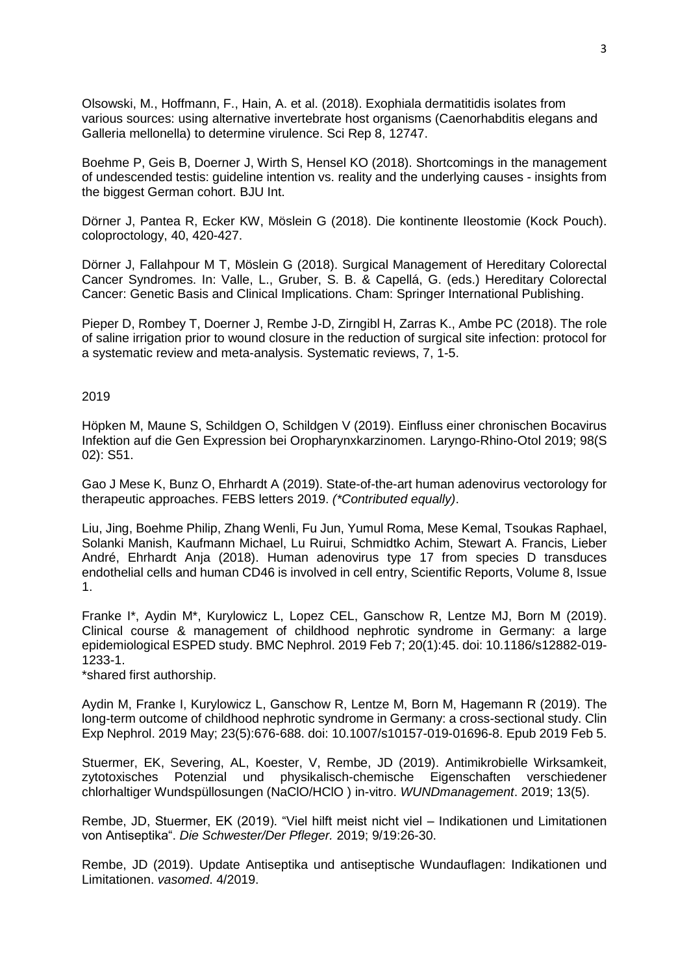Olsowski, M., Hoffmann, F., Hain, A. et al. (2018). Exophiala dermatitidis isolates from various sources: using alternative invertebrate host organisms (Caenorhabditis elegans and Galleria mellonella) to determine virulence. Sci Rep 8, 12747.

Boehme P, Geis B, Doerner J, Wirth S, Hensel KO (2018). Shortcomings in the management of undescended testis: guideline intention vs. reality and the underlying causes - insights from the biggest German cohort. BJU Int.

Dörner J, Pantea R, Ecker KW, Möslein G (2018). Die kontinente Ileostomie (Kock Pouch). coloproctology, 40, 420-427.

Dörner J, Fallahpour M T, Möslein G (2018). Surgical Management of Hereditary Colorectal Cancer Syndromes. In: Valle, L., Gruber, S. B. & Capellá, G. (eds.) Hereditary Colorectal Cancer: Genetic Basis and Clinical Implications. Cham: Springer International Publishing.

Pieper D, Rombey T, Doerner J, Rembe J-D, Zirngibl H, Zarras K., Ambe PC (2018). The role of saline irrigation prior to wound closure in the reduction of surgical site infection: protocol for a systematic review and meta-analysis. Systematic reviews, 7, 1-5.

# 2019

Höpken M, Maune S, Schildgen O, Schildgen V (2019). Einfluss einer chronischen Bocavirus Infektion auf die Gen Expression bei Oropharynxkarzinomen. Laryngo-Rhino-Otol 2019; 98(S 02): S51.

Gao J Mese K, Bunz O, Ehrhardt A (2019). State-of-the-art human adenovirus vectorology for therapeutic approaches. FEBS letters 2019. *(\*Contributed equally)*.

Liu, Jing, Boehme Philip, Zhang Wenli, Fu Jun, Yumul Roma, Mese Kemal, Tsoukas Raphael, Solanki Manish, Kaufmann Michael, Lu Ruirui, Schmidtko Achim, Stewart A. Francis, Lieber André, Ehrhardt Anja (2018). Human adenovirus type 17 from species D transduces endothelial cells and human CD46 is involved in cell entry, Scientific Reports, Volume 8, Issue 1.

Franke I\*, Aydin M\*, Kurylowicz L, Lopez CEL, Ganschow R, Lentze MJ, Born M (2019). [Clinical course & management of childhood nephrotic syndrome in Germany: a large](https://www.ncbi.nlm.nih.gov/pubmed/30732569)  [epidemiological ESPED study.](https://www.ncbi.nlm.nih.gov/pubmed/30732569) BMC Nephrol. 2019 Feb 7; 20(1):45. doi: 10.1186/s12882-019- 1233-1.

\*shared first authorship.

Aydin M, Franke I, Kurylowicz L, Ganschow R, Lentze M, Born M, Hagemann R (2019). [The](https://www.ncbi.nlm.nih.gov/pubmed/30721392)  [long-term outcome of childhood nephrotic syndrome in Germany: a cross-sectional study.](https://www.ncbi.nlm.nih.gov/pubmed/30721392) Clin Exp Nephrol. 2019 May; 23(5):676-688. doi: 10.1007/s10157-019-01696-8. Epub 2019 Feb 5.

Stuermer, EK, Severing, AL, Koester, V, Rembe, JD (2019). Antimikrobielle Wirksamkeit, zytotoxisches Potenzial und physikalisch-chemische Eigenschaften verschiedener chlorhaltiger Wundspüllosungen (NaClO/HClO ) in-vitro. *WUNDmanagement*. 2019; 13(5).

Rembe, JD, Stuermer, EK (2019). "Viel hilft meist nicht viel – Indikationen und Limitationen von Antiseptika". *Die Schwester/Der Pfleger.* 2019; 9/19:26-30.

Rembe, JD (2019). Update Antiseptika und antiseptische Wundauflagen: Indikationen und Limitationen. *vasomed*. 4/2019.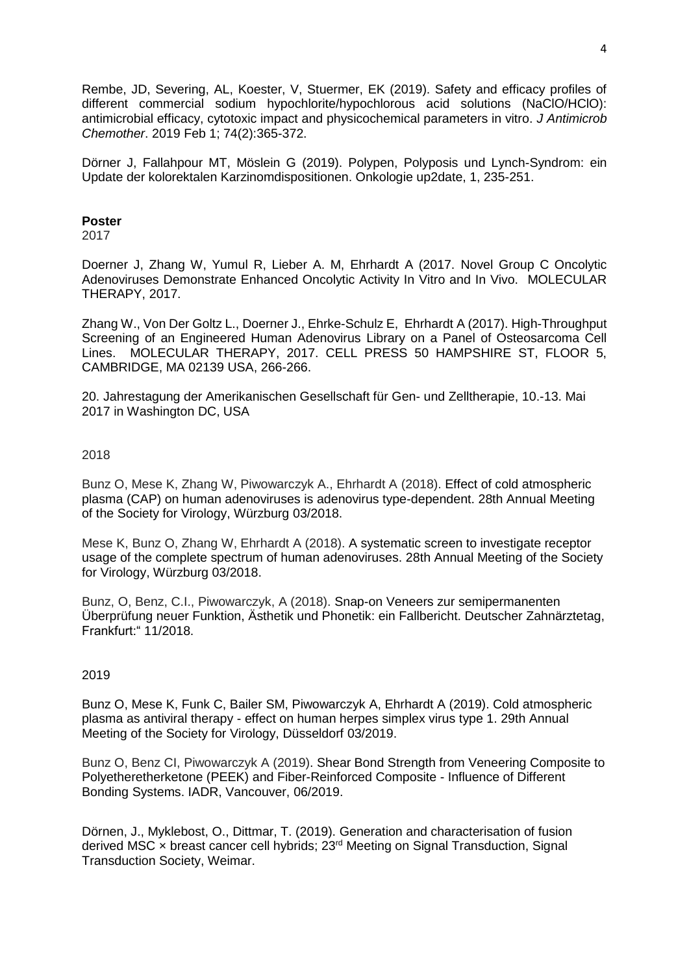Rembe, JD, Severing, AL, Koester, V, Stuermer, EK (2019). Safety and efficacy profiles of different commercial sodium hypochlorite/hypochlorous acid solutions (NaClO/HClO): antimicrobial efficacy, cytotoxic impact and physicochemical parameters in vitro. *J Antimicrob Chemother*. 2019 Feb 1; 74(2):365-372.

Dörner J, Fallahpour MT, Möslein G (2019). Polypen, Polyposis und Lynch-Syndrom: ein Update der kolorektalen Karzinomdispositionen. Onkologie up2date, 1, 235-251.

#### **Poster**

2017

Doerner J, Zhang W, Yumul R, Lieber A. M, Ehrhardt A (2017. Novel Group C Oncolytic Adenoviruses Demonstrate Enhanced Oncolytic Activity In Vitro and In Vivo. MOLECULAR THERAPY, 2017.

Zhang W., Von Der Goltz L., Doerner J., Ehrke-Schulz E, Ehrhardt A (2017). High-Throughput Screening of an Engineered Human Adenovirus Library on a Panel of Osteosarcoma Cell Lines. MOLECULAR THERAPY, 2017. CELL PRESS 50 HAMPSHIRE ST, FLOOR 5, CAMBRIDGE, MA 02139 USA, 266-266.

20. Jahrestagung der Amerikanischen Gesellschaft für Gen- und Zelltherapie, 10.-13. Mai 2017 in Washington DC, USA

# 2018

Bunz O, Mese K, Zhang W, Piwowarczyk A., Ehrhardt A (2018). Effect of cold atmospheric plasma (CAP) on human adenoviruses is adenovirus type-dependent. 28th Annual Meeting of the Society for Virology, Würzburg 03/2018.

Mese K, Bunz O, Zhang W, Ehrhardt A (2018). A systematic screen to investigate receptor usage of the complete spectrum of human adenoviruses. 28th Annual Meeting of the Society for Virology, Würzburg 03/2018.

Bunz, O, Benz, C.I., Piwowarczyk, A (2018). Snap-on Veneers zur semipermanenten Überprüfung neuer Funktion, Ästhetik und Phonetik: ein Fallbericht. Deutscher Zahnärztetag, Frankfurt:" 11/2018.

# 2019

Bunz O, Mese K, Funk C, Bailer SM, Piwowarczyk A, Ehrhardt A (2019). Cold atmospheric plasma as antiviral therapy - effect on human herpes simplex virus type 1. 29th Annual Meeting of the Society for Virology, Düsseldorf 03/2019.

Bunz O, Benz CI, Piwowarczyk A (2019). Shear Bond Strength from Veneering Composite to Polyetheretherketone (PEEK) and Fiber-Reinforced Composite - Influence of Different Bonding Systems. IADR, Vancouver, 06/2019.

Dörnen, J., Myklebost, O., Dittmar, T. (2019). Generation and characterisation of fusion derived MSC × breast cancer cell hybrids; 23rd Meeting on Signal Transduction, Signal Transduction Society, Weimar.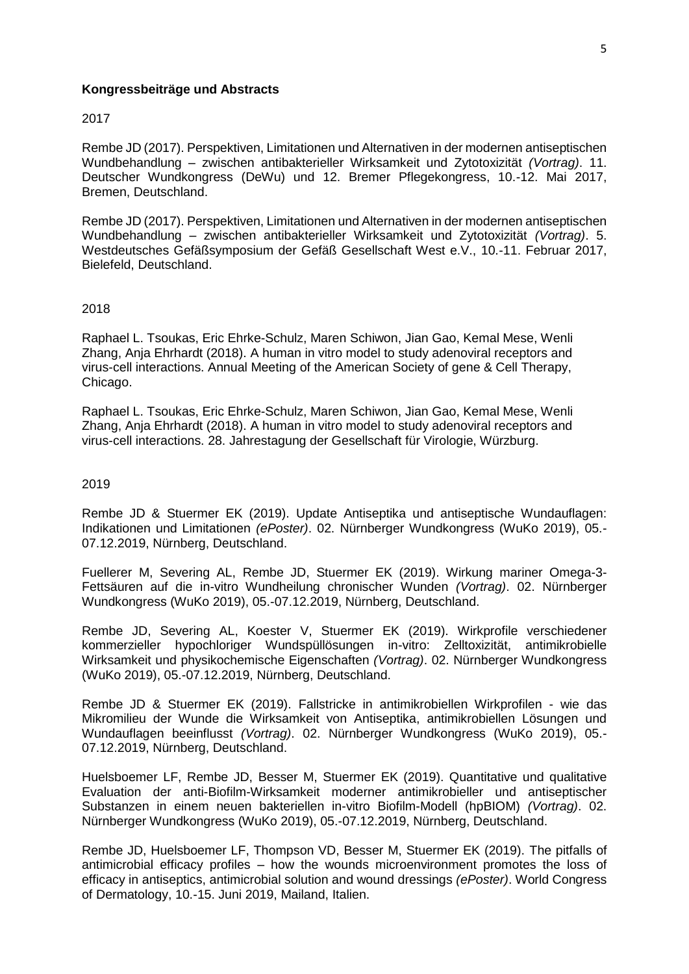### **Kongressbeiträge und Abstracts**

#### 2017

Rembe JD (2017). Perspektiven, Limitationen und Alternativen in der modernen antiseptischen Wundbehandlung – zwischen antibakterieller Wirksamkeit und Zytotoxizität *(Vortrag)*. 11. Deutscher Wundkongress (DeWu) und 12. Bremer Pflegekongress, 10.-12. Mai 2017, Bremen, Deutschland.

Rembe JD (2017). Perspektiven, Limitationen und Alternativen in der modernen antiseptischen Wundbehandlung – zwischen antibakterieller Wirksamkeit und Zytotoxizität *(Vortrag)*. 5. Westdeutsches Gefäßsymposium der Gefäß Gesellschaft West e.V., 10.-11. Februar 2017, Bielefeld, Deutschland.

#### 2018

Raphael L. Tsoukas, Eric Ehrke-Schulz, Maren Schiwon, Jian Gao, Kemal Mese, Wenli Zhang, Anja Ehrhardt (2018). A human in vitro model to study adenoviral receptors and virus-cell interactions. Annual Meeting of the American Society of gene & Cell Therapy, Chicago.

Raphael L. Tsoukas, Eric Ehrke-Schulz, Maren Schiwon, Jian Gao, Kemal Mese, Wenli Zhang, Anja Ehrhardt (2018). A human in vitro model to study adenoviral receptors and virus-cell interactions. 28. Jahrestagung der Gesellschaft für Virologie, Würzburg.

#### 2019

Rembe JD & Stuermer EK (2019). Update Antiseptika und antiseptische Wundauflagen: Indikationen und Limitationen *(ePoster)*. 02. Nürnberger Wundkongress (WuKo 2019), 05.- 07.12.2019, Nürnberg, Deutschland.

Fuellerer M, Severing AL, Rembe JD, Stuermer EK (2019). Wirkung mariner Omega-3- Fettsäuren auf die in-vitro Wundheilung chronischer Wunden *(Vortrag)*. 02. Nürnberger Wundkongress (WuKo 2019), 05.-07.12.2019, Nürnberg, Deutschland.

Rembe JD, Severing AL, Koester V, Stuermer EK (2019). Wirkprofile verschiedener kommerzieller hypochloriger Wundspüllösungen in-vitro: Zelltoxizität, antimikrobielle Wirksamkeit und physikochemische Eigenschaften *(Vortrag)*. 02. Nürnberger Wundkongress (WuKo 2019), 05.-07.12.2019, Nürnberg, Deutschland.

Rembe JD & Stuermer EK (2019). Fallstricke in antimikrobiellen Wirkprofilen - wie das Mikromilieu der Wunde die Wirksamkeit von Antiseptika, antimikrobiellen Lösungen und Wundauflagen beeinflusst *(Vortrag)*. 02. Nürnberger Wundkongress (WuKo 2019), 05.- 07.12.2019, Nürnberg, Deutschland.

Huelsboemer LF, Rembe JD, Besser M, Stuermer EK (2019). Quantitative und qualitative Evaluation der anti-Biofilm-Wirksamkeit moderner antimikrobieller und antiseptischer Substanzen in einem neuen bakteriellen in-vitro Biofilm-Modell (hpBIOM) *(Vortrag)*. 02. Nürnberger Wundkongress (WuKo 2019), 05.-07.12.2019, Nürnberg, Deutschland.

Rembe JD, Huelsboemer LF, Thompson VD, Besser M, Stuermer EK (2019). The pitfalls of antimicrobial efficacy profiles – how the wounds microenvironment promotes the loss of efficacy in antiseptics, antimicrobial solution and wound dressings *(ePoster)*. World Congress of Dermatology, 10.-15. Juni 2019, Mailand, Italien.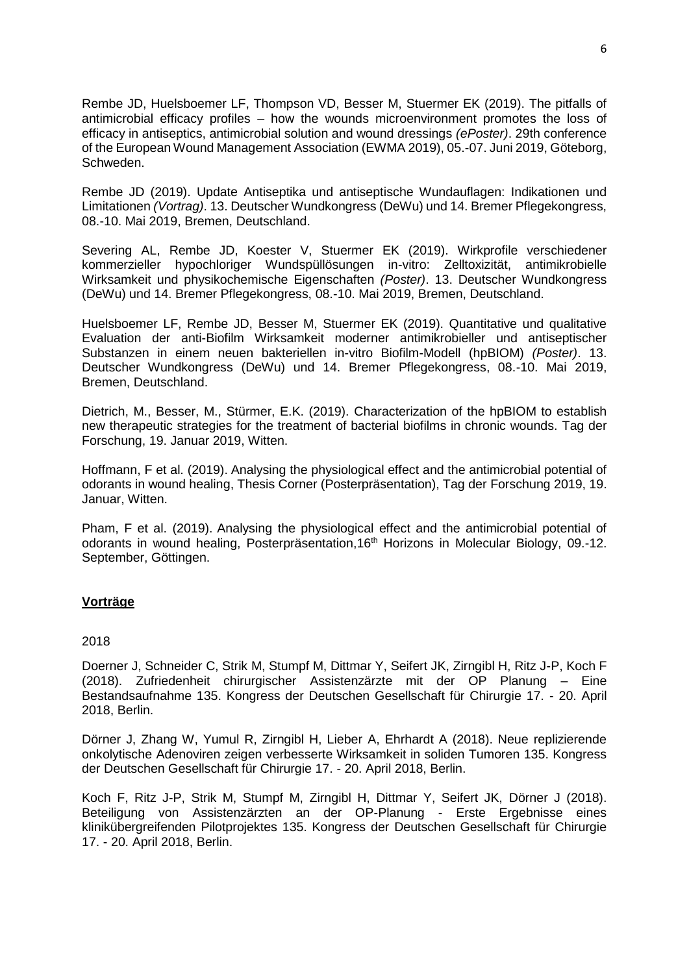Rembe JD, Huelsboemer LF, Thompson VD, Besser M, Stuermer EK (2019). The pitfalls of antimicrobial efficacy profiles – how the wounds microenvironment promotes the loss of efficacy in antiseptics, antimicrobial solution and wound dressings *(ePoster)*. 29th conference of the European Wound Management Association (EWMA 2019), 05.-07. Juni 2019, Göteborg, Schweden.

Rembe JD (2019). Update Antiseptika und antiseptische Wundauflagen: Indikationen und Limitationen *(Vortrag)*. 13. Deutscher Wundkongress (DeWu) und 14. Bremer Pflegekongress, 08.-10. Mai 2019, Bremen, Deutschland.

Severing AL, Rembe JD, Koester V, Stuermer EK (2019). Wirkprofile verschiedener kommerzieller hypochloriger Wundspüllösungen in-vitro: Zelltoxizität, antimikrobielle Wirksamkeit und physikochemische Eigenschaften *(Poster)*. 13. Deutscher Wundkongress (DeWu) und 14. Bremer Pflegekongress, 08.-10. Mai 2019, Bremen, Deutschland.

Huelsboemer LF, Rembe JD, Besser M, Stuermer EK (2019). Quantitative und qualitative Evaluation der anti-Biofilm Wirksamkeit moderner antimikrobieller und antiseptischer Substanzen in einem neuen bakteriellen in-vitro Biofilm-Modell (hpBIOM) *(Poster)*. 13. Deutscher Wundkongress (DeWu) und 14. Bremer Pflegekongress, 08.-10. Mai 2019, Bremen, Deutschland.

Dietrich, M., Besser, M., Stürmer, E.K. (2019). Characterization of the hpBIOM to establish new therapeutic strategies for the treatment of bacterial biofilms in chronic wounds. Tag der Forschung, 19. Januar 2019, Witten.

Hoffmann, F et al. (2019). Analysing the physiological effect and the antimicrobial potential of odorants in wound healing, Thesis Corner (Posterpräsentation), Tag der Forschung 2019, 19. Januar, Witten.

Pham, F et al. (2019). Analysing the physiological effect and the antimicrobial potential of odorants in wound healing, Posterpräsentation,16th Horizons in Molecular Biology, 09.-12. September, Göttingen.

# **Vorträge**

# 2018

Doerner J, Schneider C, Strik M, Stumpf M, Dittmar Y, Seifert JK, Zirngibl H, Ritz J-P, Koch F (2018). Zufriedenheit chirurgischer Assistenzärzte mit der OP Planung – Eine Bestandsaufnahme 135. Kongress der Deutschen Gesellschaft für Chirurgie 17. - 20. April 2018, Berlin.

Dörner J, Zhang W, Yumul R, Zirngibl H, Lieber A, Ehrhardt A (2018). Neue replizierende onkolytische Adenoviren zeigen verbesserte Wirksamkeit in soliden Tumoren 135. Kongress der Deutschen Gesellschaft für Chirurgie 17. - 20. April 2018, Berlin.

Koch F, Ritz J-P, Strik M, Stumpf M, Zirngibl H, Dittmar Y, Seifert JK, Dörner J (2018). Beteiligung von Assistenzärzten an der OP-Planung - Erste Ergebnisse eines klinikübergreifenden Pilotprojektes 135. Kongress der Deutschen Gesellschaft für Chirurgie 17. - 20. April 2018, Berlin.